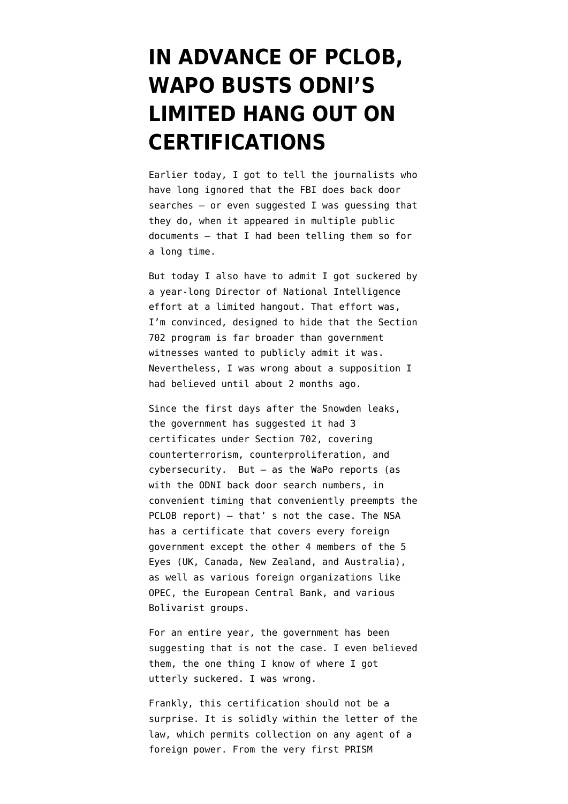## **[IN ADVANCE OF PCLOB,](https://www.emptywheel.net/2014/06/30/in-advance-of-pclob-wapo-busts-odnis-limited-hang-out-on-certifications/) [WAPO BUSTS ODNI'S](https://www.emptywheel.net/2014/06/30/in-advance-of-pclob-wapo-busts-odnis-limited-hang-out-on-certifications/) [LIMITED HANG OUT ON](https://www.emptywheel.net/2014/06/30/in-advance-of-pclob-wapo-busts-odnis-limited-hang-out-on-certifications/) [CERTIFICATIONS](https://www.emptywheel.net/2014/06/30/in-advance-of-pclob-wapo-busts-odnis-limited-hang-out-on-certifications/)**

Earlier today, I [got to tell](http://www.emptywheel.net/2014/06/30/told-you-so-fbi-back-door-search-edition/) the journalists who have long ignored that the FBI does back door searches — or even suggested I was guessing that they do, when it appeared in multiple public documents — that I [had been telling them](http://www.emptywheel.net/2013/09/08/any-bets-fbi-was-already-searching-us-person-data/) so for a long time.

But today I also have to admit I got suckered by a year-long Director of National Intelligence effort at a limited hangout. That effort was, I'm convinced, designed to hide that the Section 702 program is far broader than government witnesses wanted to publicly admit it was. Nevertheless, I was wrong about a supposition I had believed until about 2 months ago.

Since the first days after the Snowden leaks, the government has suggested it had 3 certificates under Section 702, covering counterterrorism, counterproliferation, and cybersecurity. But — as the WaPo [reports](http://www.washingtonpost.com/world/national-security/court-gave-nsa-broad-leeway-in-surveillance-documents-show/2014/06/30/32b872ec-fae4-11e3-8176-f2c941cf35f1_story.html) (as with the ODNI back door search numbers, in convenient timing that conveniently preempts the PCLOB report) — that' s not the case. The NSA has a certificate that covers [every foreign](https://www.documentcloud.org/documents/1211015-faa-fg-cert-2010-a-exhibit-f-foreign-power-list.html) [government](https://www.documentcloud.org/documents/1211015-faa-fg-cert-2010-a-exhibit-f-foreign-power-list.html) except the other 4 members of the 5 Eyes (UK, Canada, New Zealand, and Australia), as well as various foreign organizations like OPEC, the European Central Bank, and various Bolivarist groups.

For an entire year, the government has been suggesting that is not the case. I even believed them, the one thing I know of where I got utterly suckered. I was wrong.

Frankly, this certification should not be a surprise. It is solidly within the letter of the law, which permits collection on any agent of a foreign power. From the very first PRISM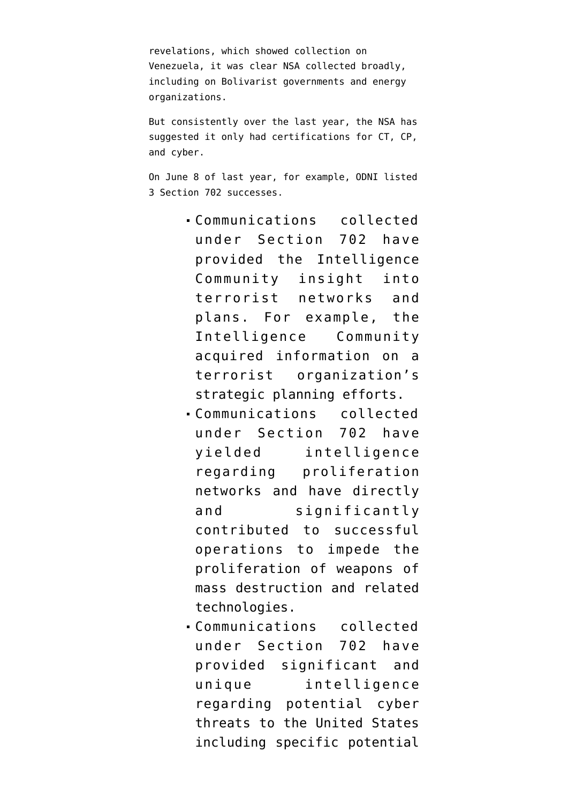revelations, which showed collection on Venezuela, it was clear NSA collected broadly, including on Bolivarist governments and energy organizations.

But consistently over the last year, the NSA has suggested it only had certifications for CT, CP, and cyber.

On June 8 of last year, for example, ODNI [listed](http://www.dni.gov/files/documents/Facts%20on%20the%20Collection%20of%20Intelligence%20Pursuant%20to%20Section%20702.pdf) 3 Section 702 successes.

- Communications collected under Section 702 have provided the Intelligence Community insight into terrorist networks and plans. For example, the Intelligence Community acquired information on a terrorist organization's strategic planning efforts.
- Communications collected under Section 702 have yielded intelligence regarding proliferation networks and have directly and significantly contributed to successful operations to impede the proliferation of weapons of mass destruction and related technologies.
- Communications collected under Section 702 have provided significant and unique intelligence regarding potential cyber threats to the United States including specific potential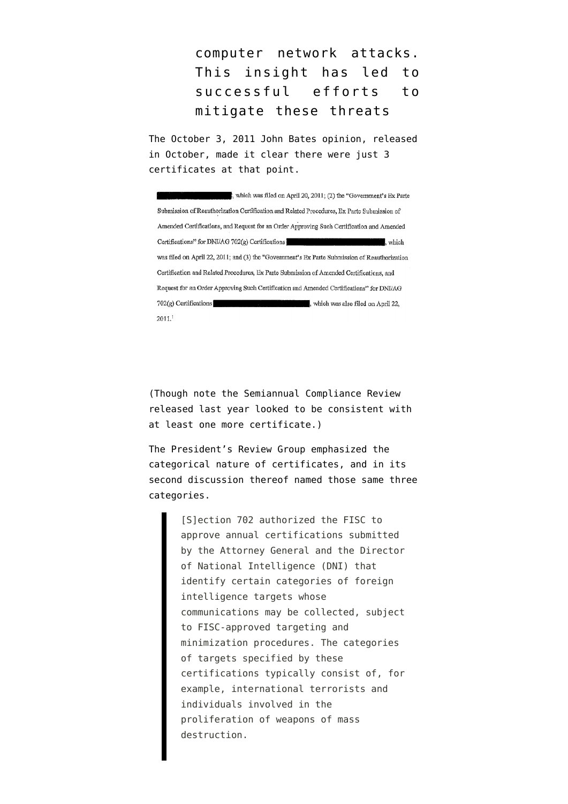computer network attacks. This insight has led to successful efforts to mitigate these threats

The October 3, 2011 John Bates opinion, released in October, made it clear there were just 3 certificates at that point.

, which was filed on April 20, 2011; (2) the "Government's Ex Parte Submission of Reauthorization Certification and Related Procedures, Ex Parte Submission of Amended Certifications, and Request for an Order Approving Such Certification and Amended Certifications" for DNI/AG 702(g) Certifications which was filed on April 22, 2011; and (3) the "Government's Ex Parte Submission of Reauthorization Certification and Related Procedures, Ex Parte Submission of Amended Certifications, and Request for an Order Approving Such Certification and Amended Certifications" for DNI/AG  $2011.<sup>1</sup>$ 

(Though note the Semiannual Compliance Review released last year [looked to be consistent](http://www.emptywheel.net/2014/02/11/is-there-a-702-certificate-for-transnational-crime-organizations/) with at least one more certificate.)

The [President's Review Group](http://www.whitehouse.gov/sites/default/files/docs/2013-12-12_rg_final_report.pdf) emphasized the categorical nature of certificates, and in its second discussion thereof named those same three categories.

> [S]ection 702 authorized the FISC to approve annual certifications submitted by the Attorney General and the Director of National Intelligence (DNI) that identify certain categories of foreign intelligence targets whose communications may be collected, subject to FISC-approved targeting and minimization procedures. The categories of targets specified by these certifications typically consist of, for example, international terrorists and individuals involved in the proliferation of weapons of mass destruction.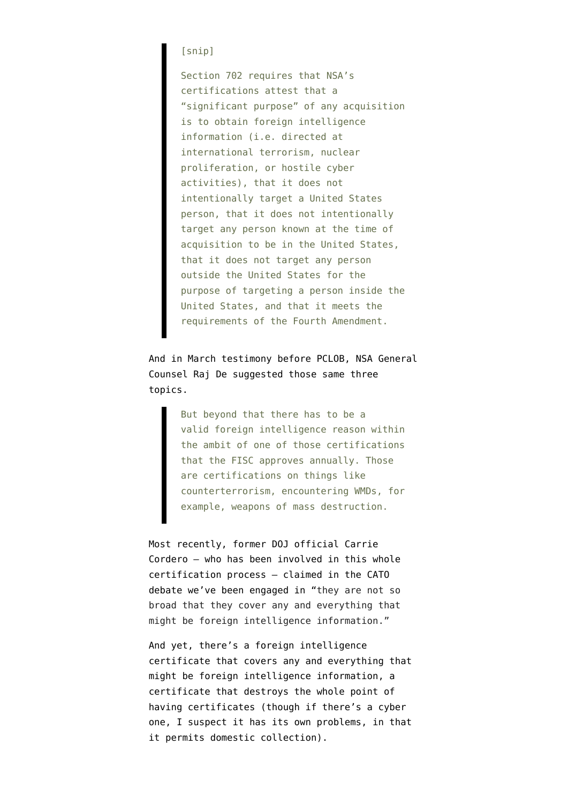## [snip]

Section 702 requires that NSA's certifications attest that a "significant purpose" of any acquisition is to obtain foreign intelligence information (i.e. directed at international terrorism, nuclear proliferation, or hostile cyber activities), that it does not intentionally target a United States person, that it does not intentionally target any person known at the time of acquisition to be in the United States, that it does not target any person outside the United States for the purpose of targeting a person inside the United States, and that it meets the requirements of the Fourth Amendment.

And in March testimony before PCLOB, NSA General Counsel Raj De [suggested](http://www.pclob.gov/Library/Meetings-Events/2014-March-19-Public-Hearing/19-March-2014_Public_Hearing_Transcript.pdf) those same three topics.

> But beyond that there has to be a valid foreign intelligence reason within the ambit of one of those certifications that the FISC approves annually. Those are certifications on things like counterterrorism, encountering WMDs, for example, weapons of mass destruction.

Most recently, former DOJ official Carrie Cordero — who has been involved in this whole certification process — [claimed](http://www.cato-unbound.org/2014/06/13/carrie-f-cordero/fear-vs-facts-exploring-rules-nsa-operates-under) in the CATO debate we've been engaged in "they are not so broad that they cover any and everything that might be foreign intelligence information."

And yet, there's a foreign intelligence certificate that covers any and everything that might be foreign intelligence information, a certificate that destroys the whole point of having certificates (though if there's a cyber one, I suspect it has its own problems, in that it permits domestic collection).